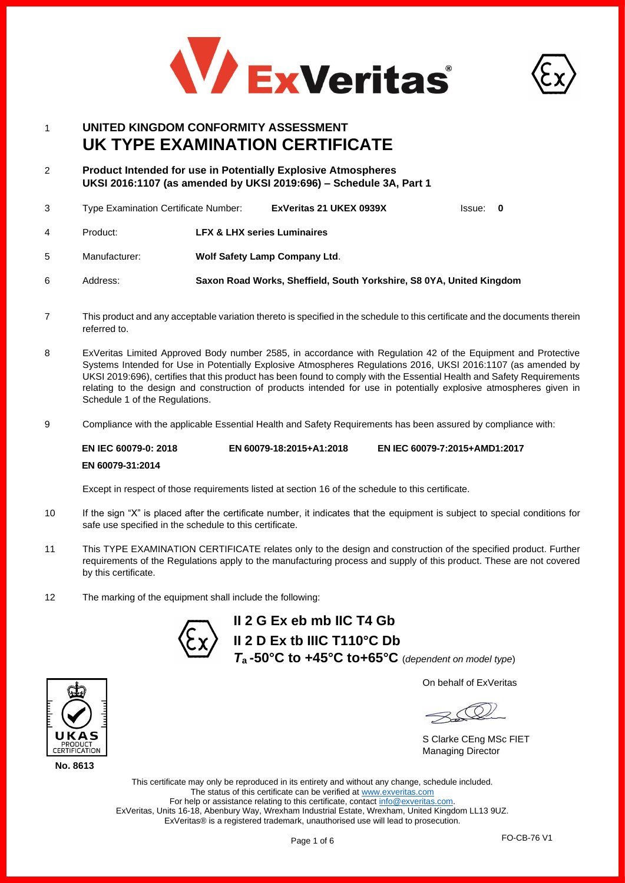



# 1 **UNITED KINGDOM CONFORMITY ASSESSMENT UK TYPE EXAMINATION CERTIFICATE**

2 **Product Intended for use in Potentially Explosive Atmospheres UKSI 2016:1107 (as amended by UKSI 2019:696) – Schedule 3A, Part 1**

|    | Type Examination Certificate Number: |                                        | ExVeritas 21 UKEX 0939X              | Issue: 0 |  |
|----|--------------------------------------|----------------------------------------|--------------------------------------|----------|--|
| 4  | Product:                             | <b>LFX &amp; LHX series Luminaires</b> |                                      |          |  |
| 5. | Manufacturer:                        |                                        | <b>Wolf Safety Lamp Company Ltd.</b> |          |  |

- 6 Address: **Saxon Road Works, Sheffield, South Yorkshire, S8 0YA, United Kingdom**
- 7 This product and any acceptable variation thereto is specified in the schedule to this certificate and the documents therein referred to.
- 8 ExVeritas Limited Approved Body number 2585, in accordance with Regulation 42 of the Equipment and Protective Systems Intended for Use in Potentially Explosive Atmospheres Regulations 2016, UKSI 2016:1107 (as amended by UKSI 2019:696), certifies that this product has been found to comply with the Essential Health and Safety Requirements relating to the design and construction of products intended for use in potentially explosive atmospheres given in Schedule 1 of the Regulations.
- 9 Compliance with the applicable Essential Health and Safety Requirements has been assured by compliance with:

**EN IEC 60079-0: 2018 EN 60079-31:2014 EN 60079-18:2015+A1:2018 EN IEC 60079-7:2015+AMD1:2017**

Except in respect of those requirements listed at section 16 of the schedule to this certificate.

- 10 If the sign "X" is placed after the certificate number, it indicates that the equipment is subject to special conditions for safe use specified in the schedule to this certificate.
- 11 This TYPE EXAMINATION CERTIFICATE relates only to the design and construction of the specified product. Further requirements of the Regulations apply to the manufacturing process and supply of this product. These are not covered by this certificate.
- 12 The marking of the equipment shall include the following:



**II 2 G Ex eb mb IIC T4 Gb II 2 D Ex tb IIIC T110°C Db** *T***a -50°C to +45°C to+65°C** (*dependent on model type*)

On behalf of ExVeritas

S Clarke CEng MSc FIET Managing Director

This certificate may only be reproduced in its entirety and without any change, schedule included. The status of this certificate can be verified a[t www.exveritas.com](http://www.exveritas.com/) For help or assistance relating to this certificate, contact [info@exveritas.com.](mailto:info@exveritas.com) ExVeritas, Units 16-18, Abenbury Way, Wrexham Industrial Estate, Wrexham, United Kingdom LL13 9UZ. ExVeritas® is a registered trademark, unauthorised use will lead to prosecution.

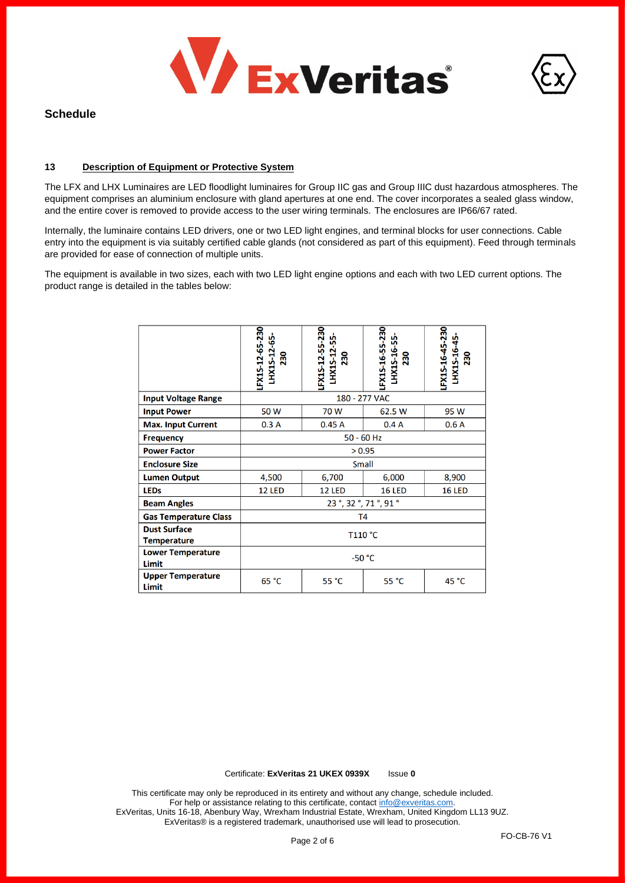



### **13 Description of Equipment or Protective System**

The LFX and LHX Luminaires are LED floodlight luminaires for Group IIC gas and Group IIIC dust hazardous atmospheres. The equipment comprises an aluminium enclosure with gland apertures at one end. The cover incorporates a sealed glass window, and the entire cover is removed to provide access to the user wiring terminals. The enclosures are IP66/67 rated.

Internally, the luminaire contains LED drivers, one or two LED light engines, and terminal blocks for user connections. Cable entry into the equipment is via suitably certified cable glands (not considered as part of this equipment). Feed through terminals are provided for ease of connection of multiple units.

The equipment is available in two sizes, each with two LED light engine options and each with two LED current options. The product range is detailed in the tables below:

|                                           | LFX1S-12-65-230<br>LHX1S-12-65-<br>230 | LFX1S-12-55-230<br>LHX1S-12-55-<br><b>230</b> | LFX1S-16-55-230<br>LHX1S-16-55-<br>230 | LFX1S-16-45-230<br>LHX1S-16-45-<br>230 |  |
|-------------------------------------------|----------------------------------------|-----------------------------------------------|----------------------------------------|----------------------------------------|--|
| <b>Input Voltage Range</b>                | 180 - 277 VAC                          |                                               |                                        |                                        |  |
| <b>Input Power</b>                        | 50 W                                   | 70 W                                          | 62.5 W                                 | 95 W                                   |  |
| <b>Max. Input Current</b>                 | 0.3A                                   | 0.45A                                         | 0.4A                                   | 0.6A                                   |  |
| <b>Frequency</b>                          | $50 - 60$ Hz                           |                                               |                                        |                                        |  |
| <b>Power Factor</b>                       | > 0.95                                 |                                               |                                        |                                        |  |
| <b>Enclosure Size</b>                     | Small                                  |                                               |                                        |                                        |  |
| <b>Lumen Output</b>                       | 4,500                                  | 6,700                                         | 6,000                                  | 8,900                                  |  |
| <b>LEDs</b>                               | <b>12 LED</b>                          | <b>12 LED</b>                                 | <b>16 LED</b>                          | <b>16 LED</b>                          |  |
| <b>Beam Angles</b>                        | 23°, 32°, 71°, 91°                     |                                               |                                        |                                        |  |
| <b>Gas Temperature Class</b>              | T4                                     |                                               |                                        |                                        |  |
| <b>Dust Surface</b><br><b>Temperature</b> | T110 °C                                |                                               |                                        |                                        |  |
| <b>Lower Temperature</b><br>Limit         | $-50 °C$                               |                                               |                                        |                                        |  |
| <b>Upper Temperature</b><br>Limit         | 65 °C                                  | 55 °C                                         | 55 °C                                  | 45 °C                                  |  |

Certificate: **ExVeritas 21 UKEX 0939X** Issue **0**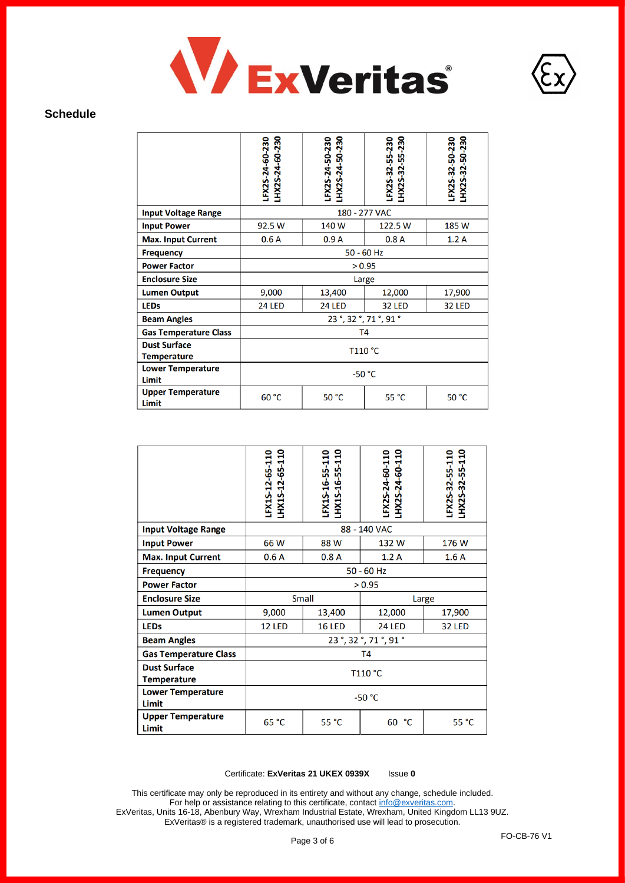



|                                           | LHX2S-24-60-230<br>LFX2S-24-60-230 | HX2S-24-50-230<br>LFX2S-24-50-230 | HX2S-32-55-230<br>LFX2S-32-55-230 | LHX2S-32-50-230<br>LFX2S-32-50-230 |  |
|-------------------------------------------|------------------------------------|-----------------------------------|-----------------------------------|------------------------------------|--|
| <b>Input Voltage Range</b>                |                                    | 180 - 277 VAC                     |                                   |                                    |  |
| <b>Input Power</b>                        | 92.5 W                             | 140 W                             | 122.5 W                           | 185 W                              |  |
| <b>Max. Input Current</b>                 | 0.6A                               | 0.9A                              | 0.8A                              | 1.2A                               |  |
| <b>Frequency</b>                          | $50 - 60$ Hz                       |                                   |                                   |                                    |  |
| <b>Power Factor</b>                       | > 0.95                             |                                   |                                   |                                    |  |
| <b>Enclosure Size</b>                     | Large                              |                                   |                                   |                                    |  |
| <b>Lumen Output</b>                       | 9,000                              | 13,400                            | 12,000                            | 17,900                             |  |
| <b>LEDs</b>                               | <b>24 LED</b>                      | <b>24 LED</b>                     | <b>32 LED</b>                     | <b>32 LED</b>                      |  |
| <b>Beam Angles</b>                        | 23°, 32°, 71°, 91°                 |                                   |                                   |                                    |  |
| <b>Gas Temperature Class</b>              | T <sub>4</sub>                     |                                   |                                   |                                    |  |
| <b>Dust Surface</b><br><b>Temperature</b> | T110 °C                            |                                   |                                   |                                    |  |
| <b>Lower Temperature</b><br>Limit         | $-50 °C$                           |                                   |                                   |                                    |  |
| <b>Upper Temperature</b><br>Limit         | 60 °C                              | 50 °C                             | 55 °C                             | 50 °C                              |  |

|                                           | LHX1S-12-65-110<br>LFX1S-12-65-110 | LHX1S-16-55-110<br>LFX1S-16-55-110 | LHX2S-24-60-110<br>LFX2S-24-60-110 | LHX2S-32-55-110<br>LFX2S-32-55-110 |  |
|-------------------------------------------|------------------------------------|------------------------------------|------------------------------------|------------------------------------|--|
| <b>Input Voltage Range</b>                | 88 - 140 VAC                       |                                    |                                    |                                    |  |
| <b>Input Power</b>                        | 66W                                | 88 W                               | 132W                               | 176 W                              |  |
| <b>Max. Input Current</b>                 | 0.6A                               | 0.8A                               | 1.2A                               | 1.6A                               |  |
| <b>Frequency</b>                          | $50 - 60$ Hz                       |                                    |                                    |                                    |  |
| <b>Power Factor</b>                       | > 0.95                             |                                    |                                    |                                    |  |
| <b>Enclosure Size</b>                     | <b>Small</b><br>Large              |                                    |                                    |                                    |  |
| <b>Lumen Output</b>                       | 9,000<br>13,400                    |                                    | 12,000                             | 17,900                             |  |
| <b>LEDs</b>                               | <b>12 LED</b>                      | <b>16 LED</b>                      | <b>24 LED</b>                      | <b>32 LED</b>                      |  |
| <b>Beam Angles</b>                        | 23°, 32°, 71°, 91°                 |                                    |                                    |                                    |  |
| <b>Gas Temperature Class</b>              | <b>T4</b>                          |                                    |                                    |                                    |  |
| <b>Dust Surface</b><br><b>Temperature</b> | T110 °C                            |                                    |                                    |                                    |  |
| <b>Lower Temperature</b><br>Limit         | $-50 °C$                           |                                    |                                    |                                    |  |
| <b>Upper Temperature</b><br>Limit         | 65 °C                              | 55 °C                              | 60<br>°€                           | 55 °C                              |  |

### Certificate: **ExVeritas 21 UKEX 0939X** Issue **0**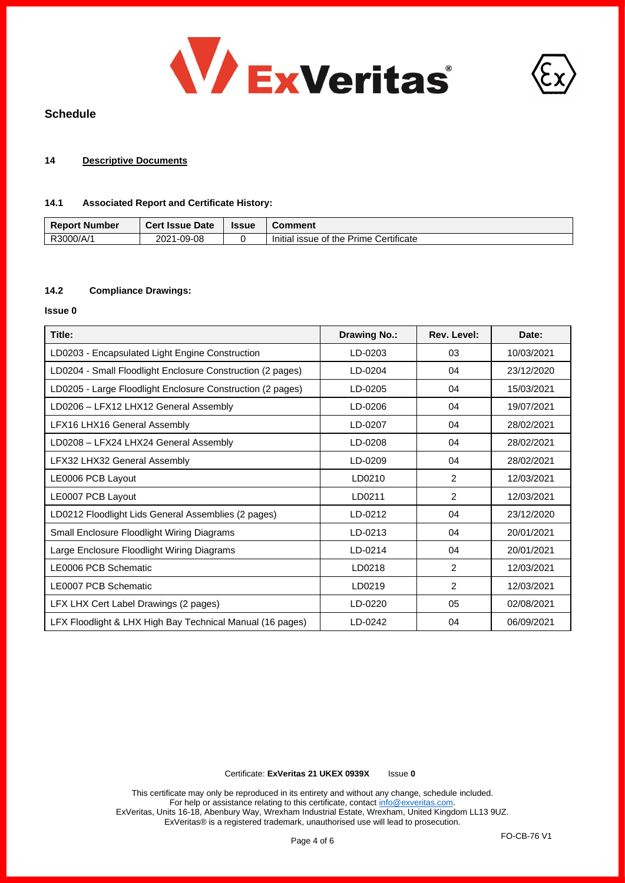



### **14 Descriptive Documents**

### **14.1 Associated Report and Certificate History:**

| <b>Report Number</b> | <b>Cert Issue Date</b> | <b>Issue</b> | Comment                                |
|----------------------|------------------------|--------------|----------------------------------------|
| R3000/A/1            | 1-09-08<br>2021        |              | Initial issue of the Prime Certificate |

# **14.2 Compliance Drawings:**

#### **Issue 0**

| Title:                                                     | <b>Drawing No.:</b> | Rev. Level:   | Date:      |
|------------------------------------------------------------|---------------------|---------------|------------|
| LD0203 - Encapsulated Light Engine Construction            | LD-0203             | 03            | 10/03/2021 |
| LD0204 - Small Floodlight Enclosure Construction (2 pages) | LD-0204             | 04            | 23/12/2020 |
| LD0205 - Large Floodlight Enclosure Construction (2 pages) | LD-0205             | 04            | 15/03/2021 |
| LD0206 - LFX12 LHX12 General Assembly                      | LD-0206             | 04            | 19/07/2021 |
| LFX16 LHX16 General Assembly                               | LD-0207             | 04            | 28/02/2021 |
| LD0208 - LFX24 LHX24 General Assembly                      | LD-0208             | 04            | 28/02/2021 |
| LFX32 LHX32 General Assembly                               | LD-0209             | 04            | 28/02/2021 |
| LE0006 PCB Layout                                          | LD0210              | 2             | 12/03/2021 |
| LE0007 PCB Layout                                          | LD0211              | 2             | 12/03/2021 |
| LD0212 Floodlight Lids General Assemblies (2 pages)        | LD-0212             | 04            | 23/12/2020 |
| Small Enclosure Floodlight Wiring Diagrams                 | LD-0213             | 04            | 20/01/2021 |
| Large Enclosure Floodlight Wiring Diagrams                 | LD-0214             | 04            | 20/01/2021 |
| LE0006 PCB Schematic                                       | LD0218              | $\mathcal{P}$ | 12/03/2021 |
| LE0007 PCB Schematic                                       | LD0219              | 2             | 12/03/2021 |
| LFX LHX Cert Label Drawings (2 pages)                      | LD-0220             | 05            | 02/08/2021 |
| LFX Floodlight & LHX High Bay Technical Manual (16 pages)  | LD-0242             | 04            | 06/09/2021 |

### Certificate: **ExVeritas 21 UKEX 0939X** Issue **0**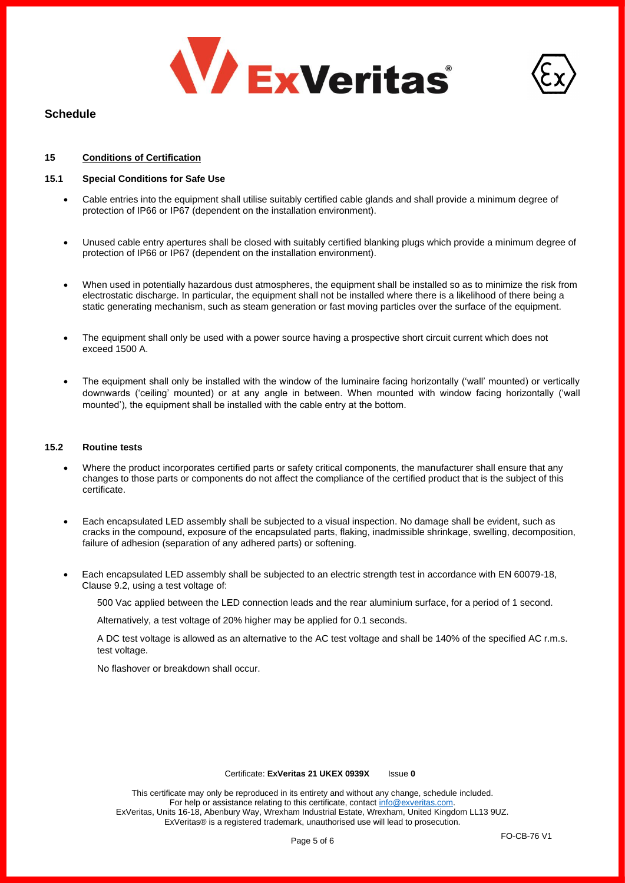



# **15 Conditions of Certification**

### **15.1 Special Conditions for Safe Use**

- Cable entries into the equipment shall utilise suitably certified cable glands and shall provide a minimum degree of protection of IP66 or IP67 (dependent on the installation environment).
- Unused cable entry apertures shall be closed with suitably certified blanking plugs which provide a minimum degree of protection of IP66 or IP67 (dependent on the installation environment).
- When used in potentially hazardous dust atmospheres, the equipment shall be installed so as to minimize the risk from electrostatic discharge. In particular, the equipment shall not be installed where there is a likelihood of there being a static generating mechanism, such as steam generation or fast moving particles over the surface of the equipment.
- The equipment shall only be used with a power source having a prospective short circuit current which does not exceed 1500 A.
- The equipment shall only be installed with the window of the luminaire facing horizontally ('wall' mounted) or vertically downwards ('ceiling' mounted) or at any angle in between. When mounted with window facing horizontally ('wall mounted'), the equipment shall be installed with the cable entry at the bottom.

#### **15.2 Routine tests**

- Where the product incorporates certified parts or safety critical components, the manufacturer shall ensure that any changes to those parts or components do not affect the compliance of the certified product that is the subject of this certificate.
- Each encapsulated LED assembly shall be subjected to a visual inspection. No damage shall be evident, such as cracks in the compound, exposure of the encapsulated parts, flaking, inadmissible shrinkage, swelling, decomposition, failure of adhesion (separation of any adhered parts) or softening.
- Each encapsulated LED assembly shall be subjected to an electric strength test in accordance with EN 60079-18, Clause 9.2, using a test voltage of:

500 Vac applied between the LED connection leads and the rear aluminium surface, for a period of 1 second.

Alternatively, a test voltage of 20% higher may be applied for 0.1 seconds.

A DC test voltage is allowed as an alternative to the AC test voltage and shall be 140% of the specified AC r.m.s. test voltage.

No flashover or breakdown shall occur.

#### Certificate: **ExVeritas 21 UKEX 0939X** Issue **0**